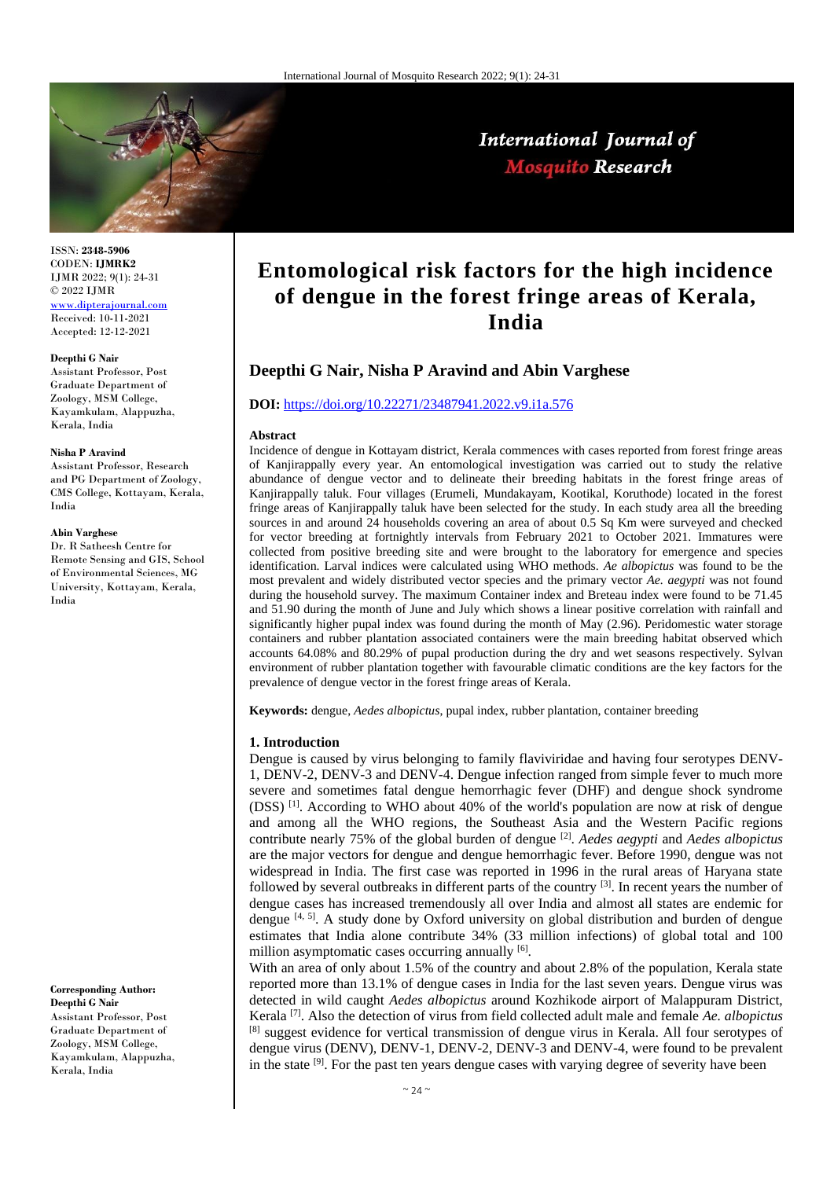

International Journal of **Mosquito Research** 

ISSN: **2348-5906** CODEN: **IJMRK2** IJMR 2022; 9(1): 24-31 © 2022 IJMR <www.dipterajournal.com>

Received: 10-11-2021 Accepted: 12-12-2021

#### **Deepthi G Nair**

Assistant Professor, Post Graduate Department of Zoology, MSM College, Kayamkulam, Alappuzha, Kerala, India

#### **Nisha P Aravind**

Assistant Professor, Research and PG Department of Zoology, CMS College, Kottayam, Kerala, India

#### **Abin Varghese**

Dr. R Satheesh Centre for Remote Sensing and GIS, School of Environmental Sciences, MG University, Kottayam, Kerala, India

**Corresponding Author: Deepthi G Nair** Assistant Professor, Post Graduate Department of Zoology, MSM College, Kayamkulam, Alappuzha, Kerala, India

# **Entomological risk factors for the high incidence of dengue in the forest fringe areas of Kerala, India**

# **Deepthi G Nair, Nisha P Aravind and Abin Varghese**

# **DOI:** <https://doi.org/10.22271/23487941.2022.v9.i1a.576>

# **Abstract**

Incidence of dengue in Kottayam district, Kerala commences with cases reported from forest fringe areas of Kanjirappally every year. An entomological investigation was carried out to study the relative abundance of dengue vector and to delineate their breeding habitats in the forest fringe areas of Kanjirappally taluk. Four villages (Erumeli, Mundakayam, Kootikal, Koruthode) located in the forest fringe areas of Kanjirappally taluk have been selected for the study. In each study area all the breeding sources in and around 24 households covering an area of about 0.5 Sq Km were surveyed and checked for vector breeding at fortnightly intervals from February 2021 to October 2021. Immatures were collected from positive breeding site and were brought to the laboratory for emergence and species identification. Larval indices were calculated using WHO methods. *Ae albopictus* was found to be the most prevalent and widely distributed vector species and the primary vector *Ae. aegypti* was not found during the household survey. The maximum Container index and Breteau index were found to be 71.45 and 51.90 during the month of June and July which shows a linear positive correlation with rainfall and significantly higher pupal index was found during the month of May (2.96). Peridomestic water storage containers and rubber plantation associated containers were the main breeding habitat observed which accounts 64.08% and 80.29% of pupal production during the dry and wet seasons respectively. Sylvan environment of rubber plantation together with favourable climatic conditions are the key factors for the prevalence of dengue vector in the forest fringe areas of Kerala.

**Keywords:** dengue, *Aedes albopictus*, pupal index, rubber plantation, container breeding

#### **1. Introduction**

Dengue is caused by virus belonging to family flaviviridae and having four serotypes DENV-1, DENV-2, DENV-3 and DENV-4. Dengue infection ranged from simple fever to much more severe and sometimes fatal dengue hemorrhagic fever (DHF) and dengue shock syndrome (DSS) [1] . According to WHO about 40% of the world's population are now at risk of dengue and among all the WHO regions, the Southeast Asia and the Western Pacific regions contribute nearly 75% of the global burden of dengue [2] . *Aedes aegypti* and *Aedes albopictus* are the major vectors for dengue and dengue hemorrhagic fever. Before 1990, dengue was not widespread in India. The first case was reported in 1996 in the rural areas of Haryana state followed by several outbreaks in different parts of the country <sup>[3]</sup>. In recent years the number of dengue cases has increased tremendously all over India and almost all states are endemic for dengue  $[4, 5]$ . A study done by Oxford university on global distribution and burden of dengue estimates that India alone contribute 34% (33 million infections) of global total and 100 million asymptomatic cases occurring annually [6].

With an area of only about 1.5% of the country and about 2.8% of the population, Kerala state reported more than 13.1% of dengue cases in India for the last seven years. Dengue virus was detected in wild caught *Aedes albopictus* around Kozhikode airport of Malappuram District, Kerala [7] . Also the detection of virus from field collected adult male and female *Ae. albopictus* <sup>[8]</sup> suggest evidence for vertical transmission of dengue virus in Kerala. All four serotypes of dengue virus (DENV), DENV-1, DENV-2, DENV-3 and DENV-4, were found to be prevalent in the state <sup>[9]</sup>. For the past ten years dengue cases with varying degree of severity have been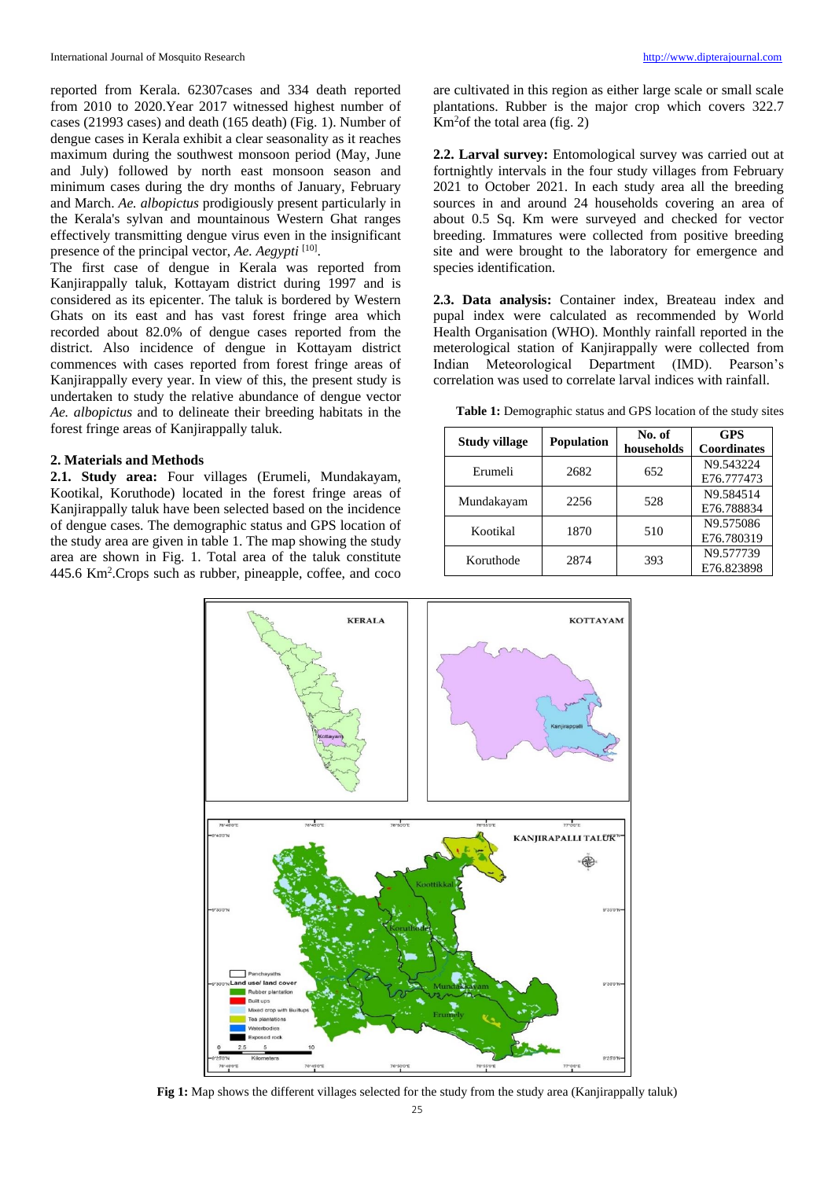reported from Kerala. 62307cases and 334 death reported from 2010 to 2020.Year 2017 witnessed highest number of cases (21993 cases) and death (165 death) (Fig. 1). Number of dengue cases in Kerala exhibit a clear seasonality as it reaches maximum during the southwest monsoon period (May, June and July) followed by north east monsoon season and minimum cases during the dry months of January, February and March. *Ae. albopictus* prodigiously present particularly in the Kerala's sylvan and mountainous Western Ghat ranges effectively transmitting dengue virus even in the insignificant presence of the principal vector, *Ae. Aegypti* [10].

The first case of dengue in Kerala was reported from Kanjirappally taluk, Kottayam district during 1997 and is considered as its epicenter. The taluk is bordered by Western Ghats on its east and has vast forest fringe area which recorded about 82.0% of dengue cases reported from the district. Also incidence of dengue in Kottayam district commences with cases reported from forest fringe areas of Kanjirappally every year. In view of this, the present study is undertaken to study the relative abundance of dengue vector *Ae. albopictus* and to delineate their breeding habitats in the forest fringe areas of Kanjirappally taluk.

# **2. Materials and Methods**

**2.1. Study area:** Four villages (Erumeli, Mundakayam, Kootikal, Koruthode) located in the forest fringe areas of Kanjirappally taluk have been selected based on the incidence of dengue cases. The demographic status and GPS location of the study area are given in table 1. The map showing the study area are shown in Fig. 1. Total area of the taluk constitute 445.6 Km<sup>2</sup> .Crops such as rubber, pineapple, coffee, and coco

are cultivated in this region as either large scale or small scale plantations. Rubber is the major crop which covers 322.7  $Km<sup>2</sup>$ of the total area (fig. 2)

**2.2. Larval survey:** Entomological survey was carried out at fortnightly intervals in the four study villages from February 2021 to October 2021. In each study area all the breeding sources in and around 24 households covering an area of about 0.5 Sq. Km were surveyed and checked for vector breeding. Immatures were collected from positive breeding site and were brought to the laboratory for emergence and species identification.

**2.3. Data analysis:** Container index, Breateau index and pupal index were calculated as recommended by World Health Organisation (WHO). Monthly rainfall reported in the meterological station of Kanjirappally were collected from Indian Meteorological Department (IMD). Pearson's correlation was used to correlate larval indices with rainfall.

**Table 1:** Demographic status and GPS location of the study sites

| <b>Study village</b> | <b>Population</b> |     | <b>GPS</b><br>Coordinates |  |  |
|----------------------|-------------------|-----|---------------------------|--|--|
| Erumeli              | 2682              | 652 | N9.543224                 |  |  |
|                      |                   |     | E76.777473                |  |  |
| Mundakayam           | 2256              | 528 | N9.584514                 |  |  |
|                      |                   |     | E76.788834                |  |  |
| Kootikal             | 1870              | 510 | N9.575086                 |  |  |
|                      |                   |     | E76.780319                |  |  |
|                      | 2874              | 393 | N9.577739                 |  |  |
| Koruthode            |                   |     | E76.823898                |  |  |



**Fig 1:** Map shows the different villages selected for the study from the study area (Kanjirappally taluk)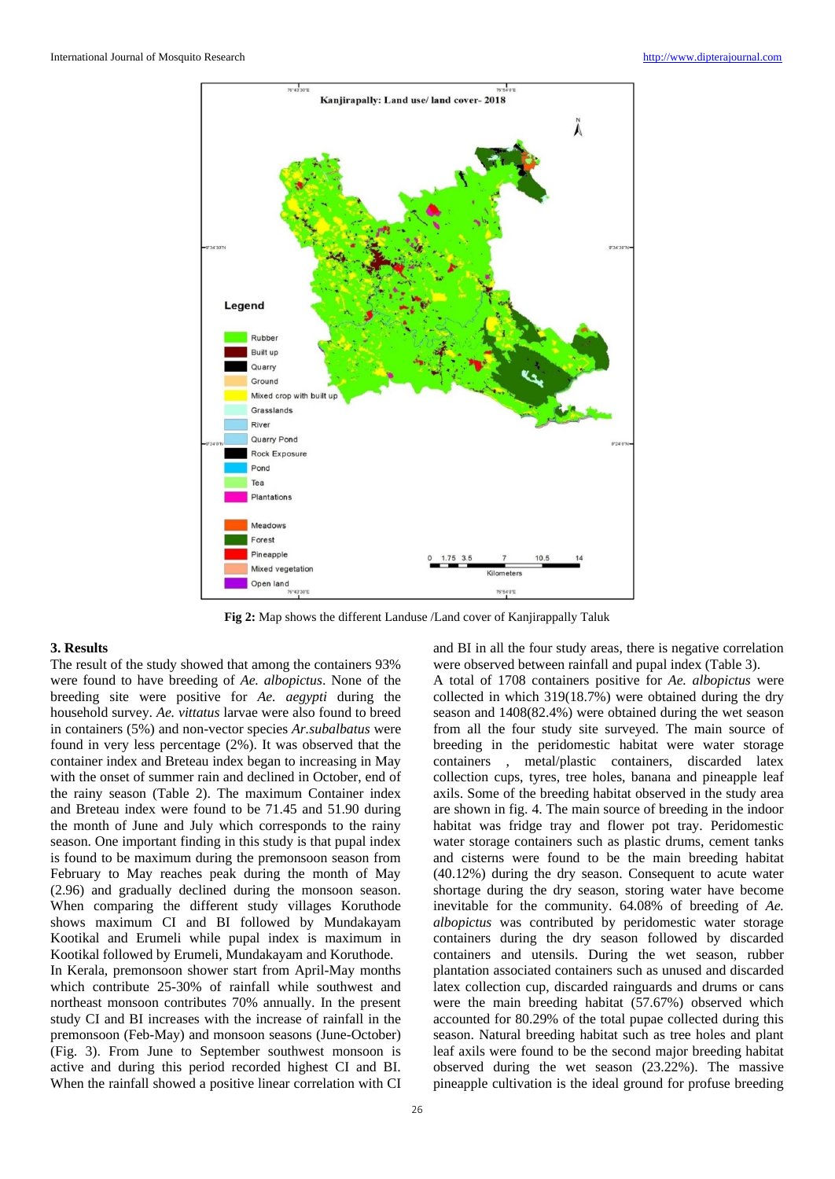

**Fig 2:** Map shows the different Landuse /Land cover of Kanjirappally Taluk

# **3. Results**

The result of the study showed that among the containers 93% were found to have breeding of *Ae. albopictus*. None of the breeding site were positive for *Ae. aegypti* during the household survey. *Ae. vittatus* larvae were also found to breed in containers (5%) and non-vector species *Ar.subalbatus* were found in very less percentage (2%). It was observed that the container index and Breteau index began to increasing in May with the onset of summer rain and declined in October, end of the rainy season (Table 2). The maximum Container index and Breteau index were found to be 71.45 and 51.90 during the month of June and July which corresponds to the rainy season. One important finding in this study is that pupal index is found to be maximum during the premonsoon season from February to May reaches peak during the month of May (2.96) and gradually declined during the monsoon season. When comparing the different study villages Koruthode shows maximum CI and BI followed by Mundakayam Kootikal and Erumeli while pupal index is maximum in Kootikal followed by Erumeli, Mundakayam and Koruthode. In Kerala, premonsoon shower start from April-May months which contribute 25-30% of rainfall while southwest and northeast monsoon contributes 70% annually. In the present study CI and BI increases with the increase of rainfall in the premonsoon (Feb-May) and monsoon seasons (June-October) (Fig. 3). From June to September southwest monsoon is active and during this period recorded highest CI and BI. When the rainfall showed a positive linear correlation with CI

and cisterns were found to be the main breeding habitat (40.12%) during the dry season. Consequent to acute water shortage during the dry season, storing water have become inevitable for the community. 64.08% of breeding of *Ae. albopictus* was contributed by peridomestic water storage containers during the dry season followed by discarded containers and utensils. During the wet season, rubber plantation associated containers such as unused and discarded latex collection cup, discarded rainguards and drums or cans were the main breeding habitat (57.67%) observed which accounted for 80.29% of the total pupae collected during this season. Natural breeding habitat such as tree holes and plant leaf axils were found to be the second major breeding habitat observed during the wet season (23.22%). The massive pineapple cultivation is the ideal ground for profuse breeding

and BI in all the four study areas, there is negative correlation were observed between rainfall and pupal index (Table 3). A total of 1708 containers positive for *Ae. albopictus* were collected in which 319(18.7%) were obtained during the dry season and 1408(82.4%) were obtained during the wet season from all the four study site surveyed. The main source of breeding in the peridomestic habitat were water storage containers , metal/plastic containers, discarded latex collection cups, tyres, tree holes, banana and pineapple leaf axils. Some of the breeding habitat observed in the study area are shown in fig. 4. The main source of breeding in the indoor habitat was fridge tray and flower pot tray. Peridomestic water storage containers such as plastic drums, cement tanks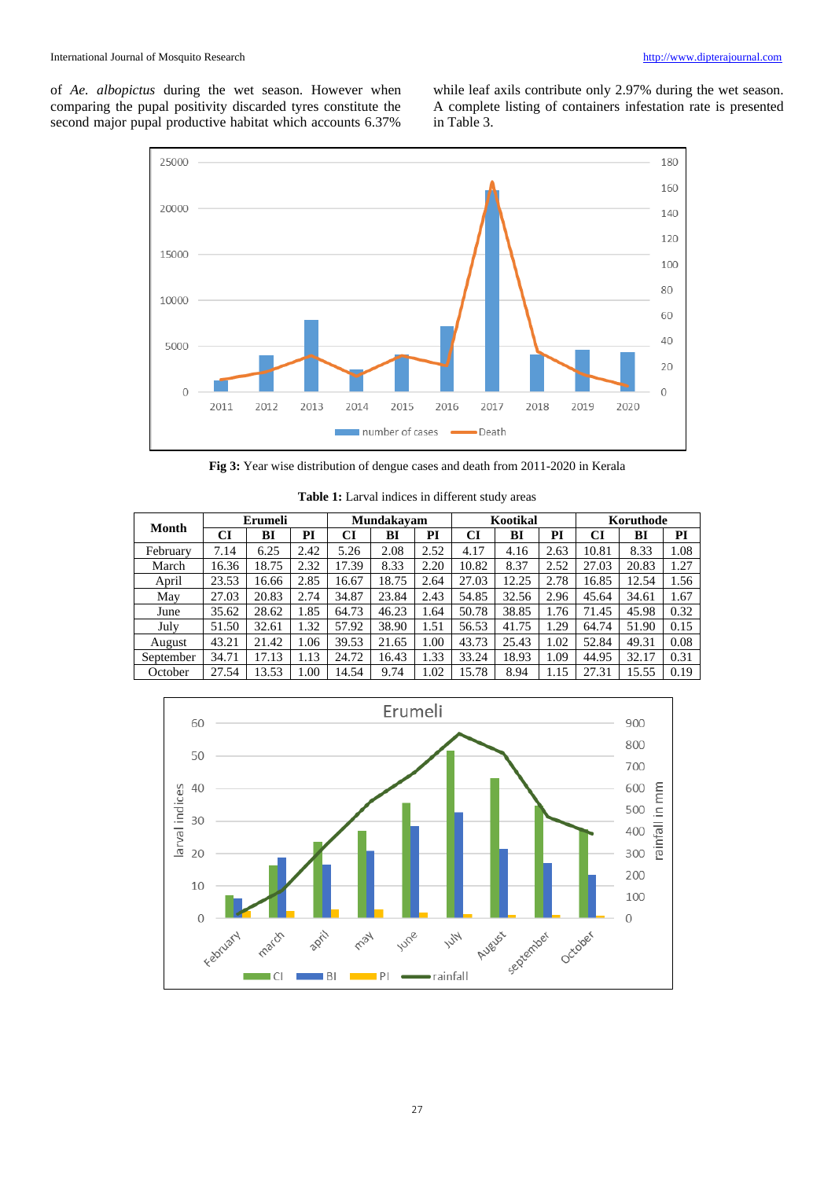of *Ae. albopictus* during the wet season. However when comparing the pupal positivity discarded tyres constitute the second major pupal productive habitat which accounts 6.37%

while leaf axils contribute only 2.97% during the wet season. A complete listing of containers infestation rate is presented in Table 3.



**Fig 3:** Year wise distribution of dengue cases and death from 2011-2020 in Kerala

| Month     | Erumeli |       |      | Mundakavam |       |      | Kootikal |       |      | Koruthode |       |      |
|-----------|---------|-------|------|------------|-------|------|----------|-------|------|-----------|-------|------|
|           | CI      | BI    | PI   | CI         | BI    | PI   | CI       | BI    | РI   | CI        | BI    | PI   |
| February  | 7.14    | 6.25  | 2.42 | 5.26       | 2.08  | 2.52 | 4.17     | 4.16  | 2.63 | 10.81     | 8.33  | 1.08 |
| March     | 16.36   | 18.75 | 2.32 | 17.39      | 8.33  | 2.20 | 10.82    | 8.37  | 2.52 | 27.03     | 20.83 | 1.27 |
| April     | 23.53   | 16.66 | 2.85 | 16.67      | 18.75 | 2.64 | 27.03    | 12.25 | 2.78 | 16.85     | 12.54 | 1.56 |
| May       | 27.03   | 20.83 | 2.74 | 34.87      | 23.84 | 2.43 | 54.85    | 32.56 | 2.96 | 45.64     | 34.61 | 1.67 |
| June      | 35.62   | 28.62 | 1.85 | 64.73      | 46.23 | 1.64 | 50.78    | 38.85 | 1.76 | 71.45     | 45.98 | 0.32 |
| July      | 51.50   | 32.61 | 1.32 | 57.92      | 38.90 | 1.51 | 56.53    | 41.75 | .29  | 64.74     | 51.90 | 0.15 |
| August    | 43.21   | 21.42 | 1.06 | 39.53      | 21.65 | 1.00 | 43.73    | 25.43 | 1.02 | 52.84     | 49.31 | 0.08 |
| September | 34.71   | 17.13 | 1.13 | 24.72      | 16.43 | 1.33 | 33.24    | 18.93 | 1.09 | 44.95     | 32.17 | 0.31 |
| October   | 27.54   | 13.53 | 1.00 | 14.54      | 9.74  | 1.02 | 15.78    | 8.94  | 1.15 | 27.31     | 15.55 | 0.19 |

**Table 1:** Larval indices in different study areas

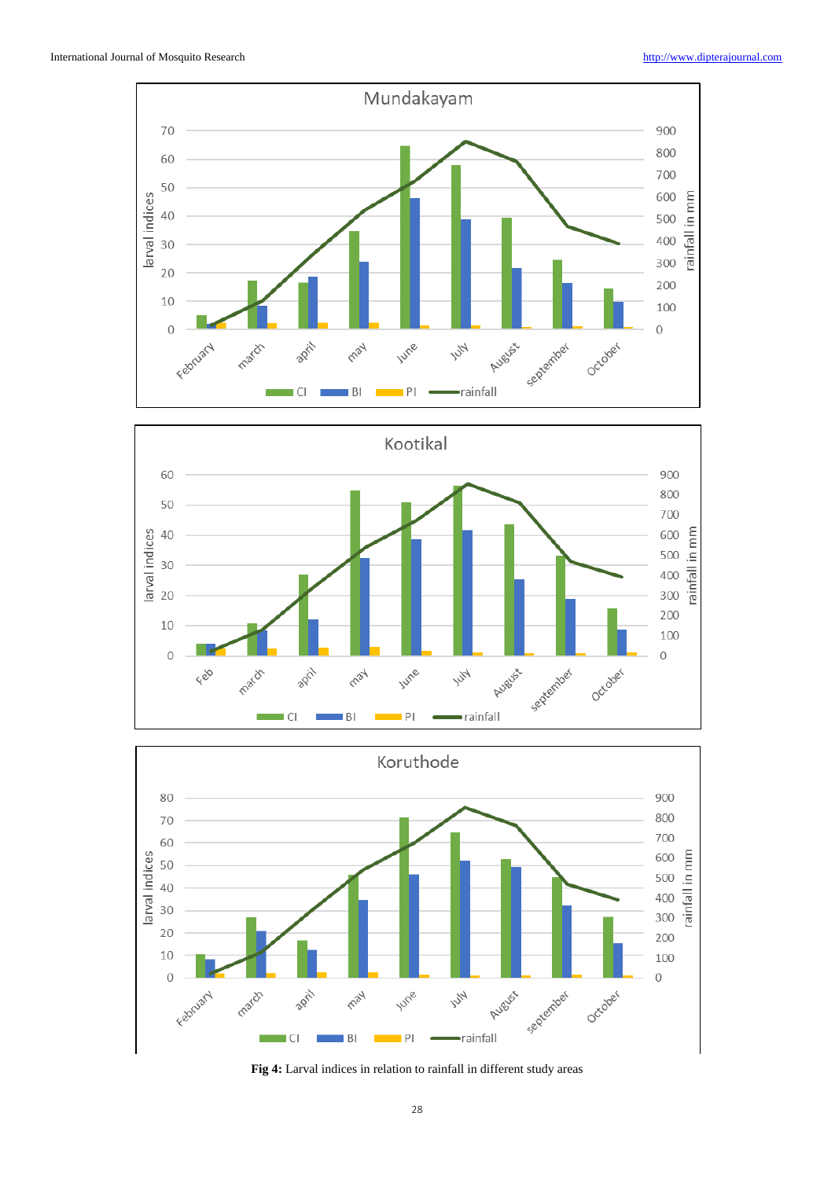





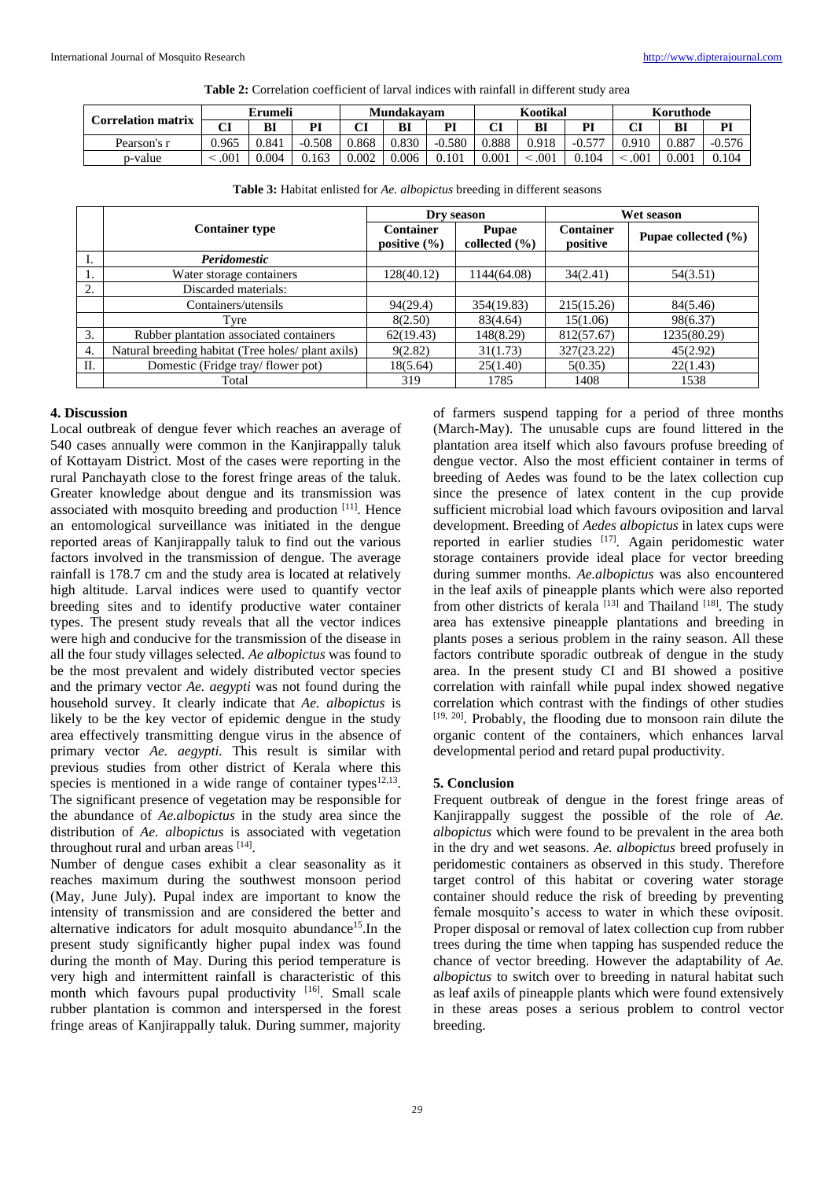**Table 2:** Correlation coefficient of larval indices with rainfall in different study area

|                           | Erumeli |       |          | <b>Mundakavam</b> |       |           | Kootikal |       |             | Koruthode |       |          |
|---------------------------|---------|-------|----------|-------------------|-------|-----------|----------|-------|-------------|-----------|-------|----------|
| <b>Correlation matrix</b> | МΤ<br>u | BI    | PI       | u                 | BI    | DI.       | ΛT<br>u  | BI    | PI          |           | BI    | Pl       |
| Pearson's r               | 0.965   | 0.841 | $-0.508$ | 0.868             | 0.830 | $-0.580$  | 0.888    | 0.918 | $-0.57^{-}$ | 0.910     | 0.887 | $-0.576$ |
| p-value                   | .001    | 0.004 | 0.163    | 0.002             | 0.006 | $0.101\,$ | 0.001    | .001  | 0.104       | .001      | 0.001 | 0.104    |

|    |                                                    |                                      | Dry season                        | Wet season                   |                     |  |
|----|----------------------------------------------------|--------------------------------------|-----------------------------------|------------------------------|---------------------|--|
|    | <b>Container type</b>                              | <b>Container</b><br>positive $(\% )$ | <b>Pupae</b><br>collected $(\% )$ | <b>Container</b><br>positive | Pupae collected (%) |  |
|    | Peridomestic                                       |                                      |                                   |                              |                     |  |
|    | Water storage containers                           | 128(40.12)                           | 1144(64.08)                       | 34(2.41)                     | 54(3.51)            |  |
| 2. | Discarded materials:                               |                                      |                                   |                              |                     |  |
|    | Containers/utensils                                | 94(29.4)                             | 354(19.83)                        | 215(15.26)                   | 84(5.46)            |  |
|    | Tyre                                               | 8(2.50)                              | 83(4.64)                          | 15(1.06)                     | 98(6.37)            |  |
| 3. | Rubber plantation associated containers            | 62(19.43)                            | 148(8.29)                         | 812(57.67)                   | 1235(80.29)         |  |
| 4. | Natural breeding habitat (Tree holes/ plant axils) | 9(2.82)                              | 31(1.73)                          | 327(23.22)                   | 45(2.92)            |  |
| Π. | Domestic (Fridge tray/flower pot)                  | 18(5.64)                             | 25(1.40)                          | 5(0.35)                      | 22(1.43)            |  |
|    | Total                                              | 319                                  | 1785                              | 1408                         | 1538                |  |

**Table 3:** Habitat enlisted for *Ae. albopictus* breeding in different seasons

### **4. Discussion**

Local outbreak of dengue fever which reaches an average of 540 cases annually were common in the Kanjirappally taluk of Kottayam District. Most of the cases were reporting in the rural Panchayath close to the forest fringe areas of the taluk. Greater knowledge about dengue and its transmission was associated with mosquito breeding and production [11]. Hence an entomological surveillance was initiated in the dengue reported areas of Kanjirappally taluk to find out the various factors involved in the transmission of dengue. The average rainfall is 178.7 cm and the study area is located at relatively high altitude. Larval indices were used to quantify vector breeding sites and to identify productive water container types. The present study reveals that all the vector indices were high and conducive for the transmission of the disease in all the four study villages selected. *Ae albopictus* was found to be the most prevalent and widely distributed vector species and the primary vector *Ae. aegypti* was not found during the household survey. It clearly indicate that *Ae. albopictus* is likely to be the key vector of epidemic dengue in the study area effectively transmitting dengue virus in the absence of primary vector *Ae. aegypti.* This result is similar with previous studies from other district of Kerala where this species is mentioned in a wide range of container types $12,13$ . The significant presence of vegetation may be responsible for the abundance of *Ae.albopictus* in the study area since the distribution of *Ae. albopictus* is associated with vegetation throughout rural and urban areas  $[14]$ .

Number of dengue cases exhibit a clear seasonality as it reaches maximum during the southwest monsoon period (May, June July). Pupal index are important to know the intensity of transmission and are considered the better and alternative indicators for adult mosquito abundance<sup>15</sup>.In the present study significantly higher pupal index was found during the month of May. During this period temperature is very high and intermittent rainfall is characteristic of this month which favours pupal productivity [16]. Small scale rubber plantation is common and interspersed in the forest fringe areas of Kanjirappally taluk. During summer, majority

of farmers suspend tapping for a period of three months (March-May). The unusable cups are found littered in the plantation area itself which also favours profuse breeding of dengue vector. Also the most efficient container in terms of breeding of Aedes was found to be the latex collection cup since the presence of latex content in the cup provide sufficient microbial load which favours oviposition and larval development. Breeding of *Aedes albopictus* in latex cups were reported in earlier studies [17]. Again peridomestic water storage containers provide ideal place for vector breeding during summer months. *Ae.albopictus* was also encountered in the leaf axils of pineapple plants which were also reported from other districts of kerala  $[13]$  and Thailand  $[18]$ . The study area has extensive pineapple plantations and breeding in plants poses a serious problem in the rainy season. All these factors contribute sporadic outbreak of dengue in the study area. In the present study CI and BI showed a positive correlation with rainfall while pupal index showed negative correlation which contrast with the findings of other studies [19, 20]. Probably, the flooding due to monsoon rain dilute the organic content of the containers, which enhances larval developmental period and retard pupal productivity.

# **5. Conclusion**

Frequent outbreak of dengue in the forest fringe areas of Kanjirappally suggest the possible of the role of *Ae. albopictus* which were found to be prevalent in the area both in the dry and wet seasons. *Ae. albopictus* breed profusely in peridomestic containers as observed in this study. Therefore target control of this habitat or covering water storage container should reduce the risk of breeding by preventing female mosquito's access to water in which these oviposit. Proper disposal or removal of latex collection cup from rubber trees during the time when tapping has suspended reduce the chance of vector breeding. However the adaptability of *Ae. albopictus* to switch over to breeding in natural habitat such as leaf axils of pineapple plants which were found extensively in these areas poses a serious problem to control vector breeding.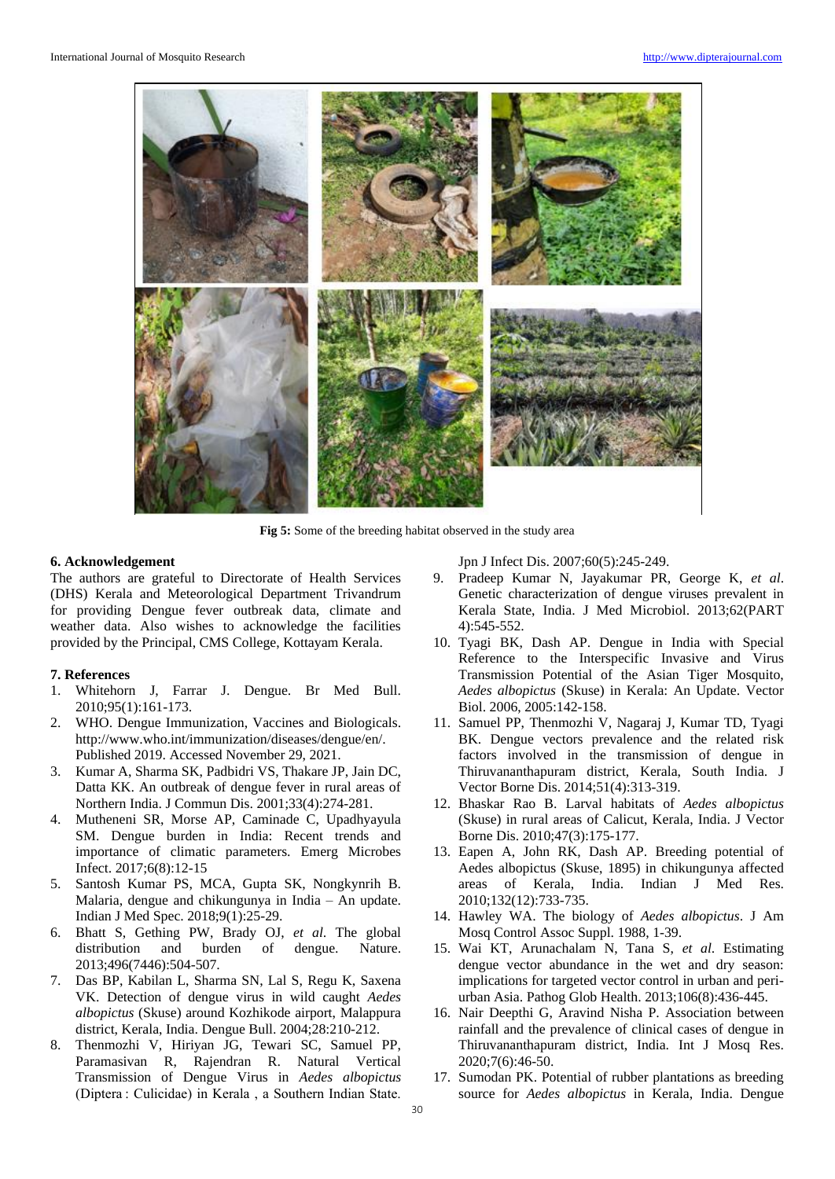

**Fig 5:** Some of the breeding habitat observed in the study area

# **6. Acknowledgement**

The authors are grateful to Directorate of Health Services (DHS) Kerala and Meteorological Department Trivandrum for providing Dengue fever outbreak data, climate and weather data. Also wishes to acknowledge the facilities provided by the Principal, CMS College, Kottayam Kerala.

# **7. References**

- 1. Whitehorn J, Farrar J. Dengue. Br Med Bull. 2010;95(1):161-173.
- 2. WHO. Dengue Immunization, Vaccines and Biologicals. http://www.who.int/immunization/diseases/dengue/en/. Published 2019. Accessed November 29, 2021.
- 3. Kumar A, Sharma SK, Padbidri VS, Thakare JP, Jain DC, Datta KK. An outbreak of dengue fever in rural areas of Northern India. J Commun Dis. 2001;33(4):274-281.
- 4. Mutheneni SR, Morse AP, Caminade C, Upadhyayula SM. Dengue burden in India: Recent trends and importance of climatic parameters. Emerg Microbes Infect. 2017;6(8):12-15
- 5. Santosh Kumar PS, MCA, Gupta SK, Nongkynrih B. Malaria, dengue and chikungunya in India – An update. Indian J Med Spec. 2018;9(1):25-29.
- 6. Bhatt S, Gething PW, Brady OJ, *et al*. The global distribution and burden of dengue. Nature. 2013;496(7446):504-507.
- 7. Das BP, Kabilan L, Sharma SN, Lal S, Regu K, Saxena VK. Detection of dengue virus in wild caught *Aedes albopictus* (Skuse) around Kozhikode airport, Malappura district, Kerala, India. Dengue Bull. 2004;28:210-212.
- 8. Thenmozhi V, Hiriyan JG, Tewari SC, Samuel PP, Paramasivan R, Rajendran R. Natural Vertical Transmission of Dengue Virus in *Aedes albopictus* (Diptera : Culicidae) in Kerala , a Southern Indian State.

Jpn J Infect Dis. 2007;60(5):245-249.

- 9. Pradeep Kumar N, Jayakumar PR, George K, *et al*. Genetic characterization of dengue viruses prevalent in Kerala State, India. J Med Microbiol. 2013;62(PART 4):545-552.
- 10. Tyagi BK, Dash AP. Dengue in India with Special Reference to the Interspecific Invasive and Virus Transmission Potential of the Asian Tiger Mosquito, *Aedes albopictus* (Skuse) in Kerala: An Update. Vector Biol. 2006, 2005:142-158.
- 11. Samuel PP, Thenmozhi V, Nagaraj J, Kumar TD, Tyagi BK. Dengue vectors prevalence and the related risk factors involved in the transmission of dengue in Thiruvananthapuram district, Kerala, South India. J Vector Borne Dis. 2014;51(4):313-319.
- 12. Bhaskar Rao B. Larval habitats of *Aedes albopictus* (Skuse) in rural areas of Calicut, Kerala, India. J Vector Borne Dis. 2010;47(3):175-177.
- 13. Eapen A, John RK, Dash AP. Breeding potential of Aedes albopictus (Skuse, 1895) in chikungunya affected areas of Kerala, India. Indian J Med Res. 2010;132(12):733-735.
- 14. Hawley WA. The biology of *Aedes albopictus*. J Am Mosq Control Assoc Suppl. 1988, 1-39.
- 15. Wai KT, Arunachalam N, Tana S, *et al*. Estimating dengue vector abundance in the wet and dry season: implications for targeted vector control in urban and periurban Asia. Pathog Glob Health. 2013;106(8):436-445.
- 16. Nair Deepthi G, Aravind Nisha P. Association between rainfall and the prevalence of clinical cases of dengue in Thiruvananthapuram district, India. Int J Mosq Res. 2020;7(6):46-50.
- 17. Sumodan PK. Potential of rubber plantations as breeding source for *Aedes albopictus* in Kerala, India. Dengue